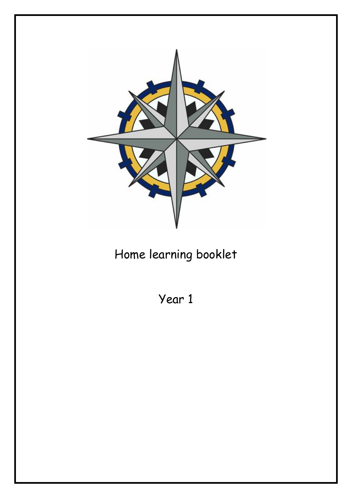

### Home learning booklet

Year 1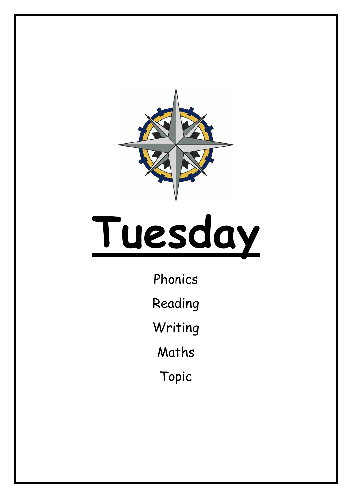

## **Tuesday**

Phonics

Reading

Writing

Maths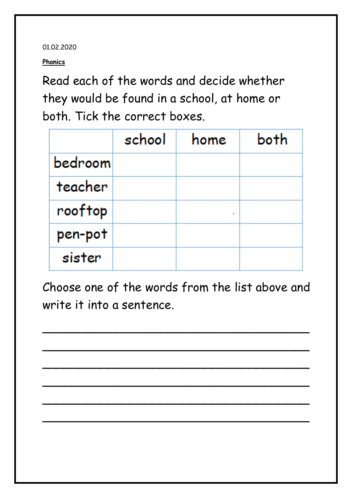01.02.2020

**Phonics**

Read each of the words and decide whether they would be found in a school, at home or both. Tick the correct boxes.

|         | school | home | both |
|---------|--------|------|------|
| bedroom |        |      |      |
| teacher |        |      |      |
| rooftop |        |      |      |
| pen-pot |        |      |      |
| sister  |        |      |      |

Choose one of the words from the list above and write it into a sentence.

 $\overline{\phantom{a}}$  , and the set of the set of the set of the set of the set of the set of the set of the set of the set of the

\_\_\_\_\_\_\_\_\_\_\_\_\_\_\_\_\_\_\_\_\_\_\_\_\_\_\_\_\_\_\_\_\_\_\_\_

\_\_\_\_\_\_\_\_\_\_\_\_\_\_\_\_\_\_\_\_\_\_\_\_\_\_\_\_\_\_\_\_\_\_\_\_

 $\overline{\phantom{a}}$  , and the set of the set of the set of the set of the set of the set of the set of the set of the set of the set of the set of the set of the set of the set of the set of the set of the set of the set of the s

 $\overline{\phantom{a}}$ 

 $\overline{\phantom{a}}$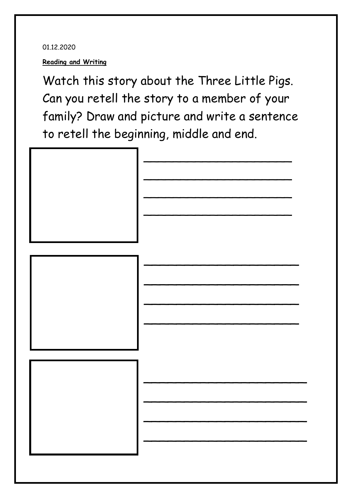**Reading and Writing**

Watch this story about the Three Little Pigs. Can you retell the story to a member of your family? Draw and picture and write a sentence to retell the beginning, middle and end.

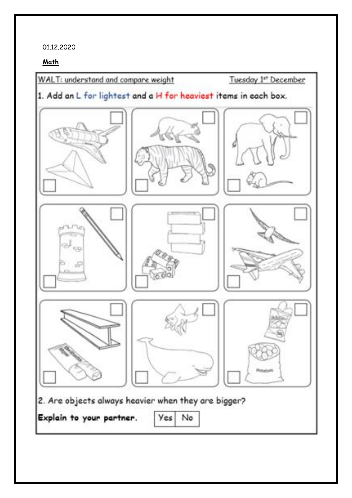**Math**

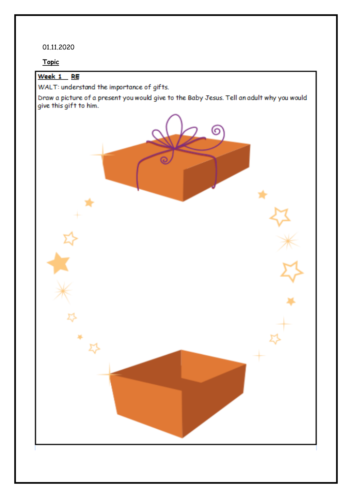01.11.2020

**Topic**

#### Week 1 RE

基

r,

WALT: understand the importance of gifts.

Draw a picture of a present you would give to the Baby Jesus. Tell an adult why you would give this gift to him.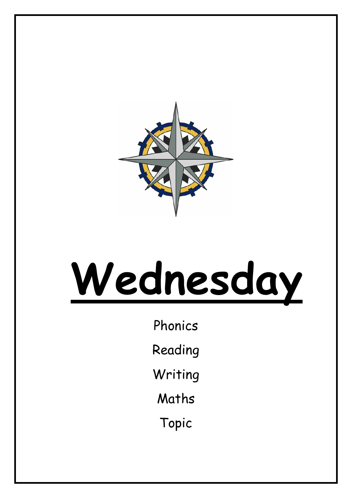

## **Wednesday**

- Phonics
- Reading
- Writing
	- Maths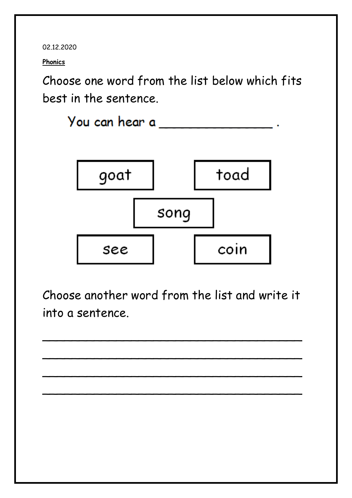**Phonics**

Choose one word from the list below which fits best in the sentence.



Choose another word from the list and write it into a sentence.

see

coin

 $\overline{\phantom{a}}$ 

\_\_\_\_\_\_\_\_\_\_\_\_\_\_\_\_\_\_\_\_\_\_\_\_\_\_\_\_\_\_\_\_\_\_\_

 $\overline{\phantom{a}}$  , and the set of the set of the set of the set of the set of the set of the set of the set of the set of the

 $\overline{\phantom{a}}$  , and the set of the set of the set of the set of the set of the set of the set of the set of the set of the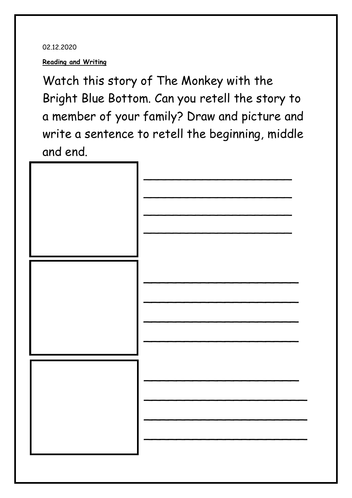**Reading and Writing**

Watch this story of The Monkey with the Bright Blue Bottom. Can you retell the story to a member of your family? Draw and picture and write a sentence to retell the beginning, middle and end.

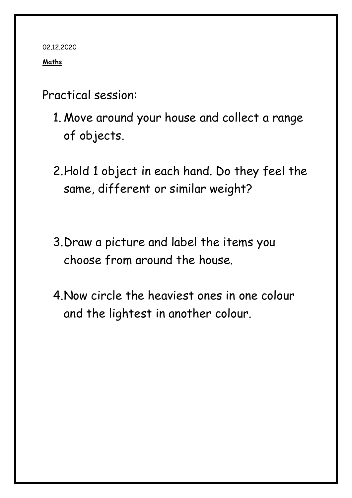**Maths**

Practical session:

- 1. Move around your house and collect a range of objects.
- 2.Hold 1 object in each hand. Do they feel the same, different or similar weight?
- 3.Draw a picture and label the items you choose from around the house.
- 4.Now circle the heaviest ones in one colour and the lightest in another colour.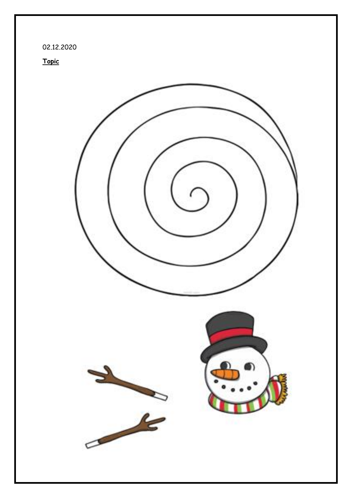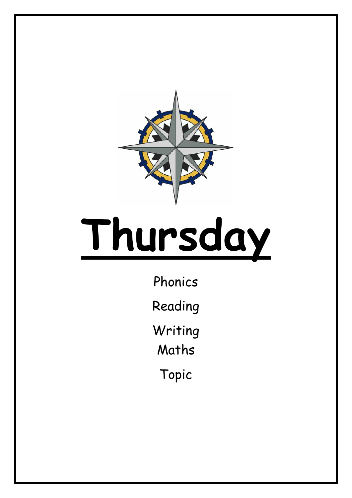

## **Thursday**

Phonics

Reading

Writing

Maths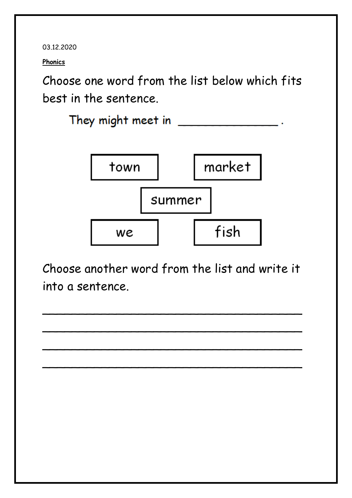**Phonics**

Choose one word from the list below which fits best in the sentence.



Choose another word from the list and write it into a sentence.

 $\overline{\phantom{a}}$ 

 $\overline{\phantom{a}}$ 

\_\_\_\_\_\_\_\_\_\_\_\_\_\_\_\_\_\_\_\_\_\_\_\_\_\_\_\_\_\_\_\_\_\_\_

 $\overline{\phantom{a}}$  , and the set of the set of the set of the set of the set of the set of the set of the set of the set of the set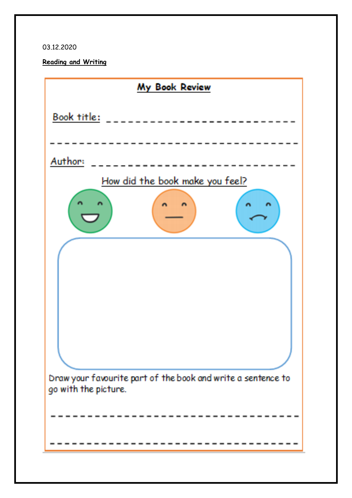**Reading and Writing**

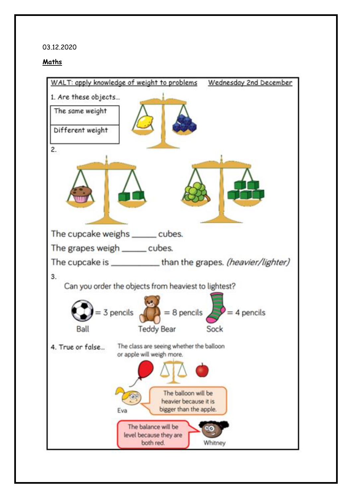#### **Maths**

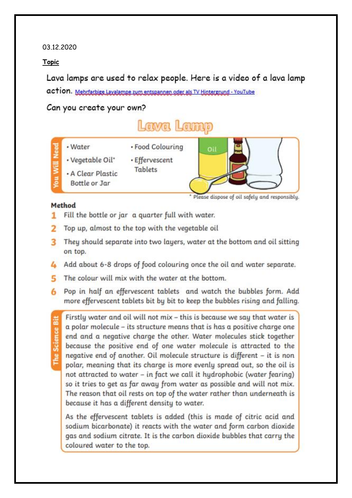#### **Topic**

Lava lamps are used to relax people. Here is a video of a lava lamp action. Mehrfarbige Lavalampe zum entspannen oder als TV Hintergrund - YouTube

#### Can you create your own?

### Lava Lamp

- Water ou Will Need · Vegetable Oil\*
- · Effervescent **Tablets**

· Food Colouring

- · A Clear Plastic
- Bottle or Jar
- -

Please dispose of oil safely and responsibly.

Oil

#### Method

- Fill the bottle or jar a quarter full with water. 1
- 2 Top up, almost to the top with the vegetable oil
- 3 They should separate into two layers, water at the bottom and oil sitting on top.
- 4 Add about 6-8 drops of food colouring once the oil and water separate.
- 5 The colour will mix with the water at the bottom.
- 6 Pop in half an effervescent tablets and watch the bubbles form. Add more effervescent tablets bit by bit to keep the bubbles rising and falling.

夁 Science Firstly water and oil will not mix - this is because we say that water is a polar molecule - its structure means that is has a positive charge one end and a negative charge the other. Water molecules stick together because the positive end of one water molecule is attracted to the negative end of another. Oil molecule structure is different - it is non polar, meaning that its charge is more evenly spread out, so the oil is not attracted to water - in fact we call it hydrophobic (water fearing) so it tries to get as far away from water as possible and will not mix. The reason that oil rests on top of the water rather than underneath is because it has a different density to water.

As the effervescent tablets is added (this is made of citric acid and sodium bicarbonate) it reacts with the water and form carbon dioxide gas and sodium citrate. It is the carbon dioxide bubbles that carry the coloured water to the top.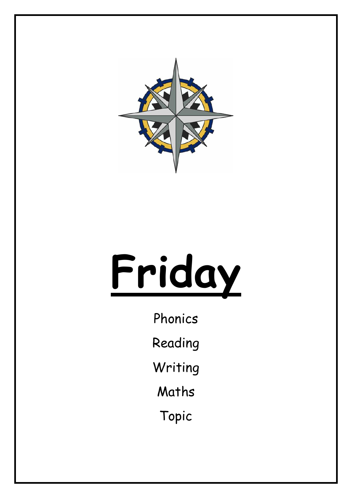

# **Friday**

Phonics

Reading

Writing

Maths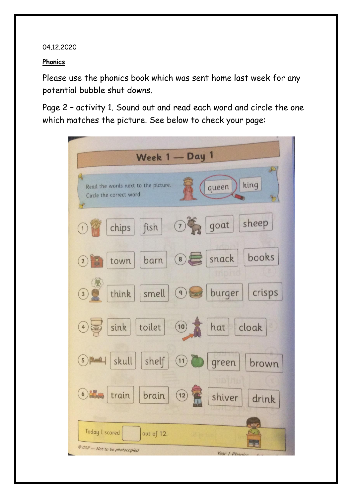**Phonics**

Please use the phonics book which was sent home last week for any potential bubble shut downs.

Page 2 – activity 1. Sound out and read each word and circle the one which matches the picture. See below to check your page:

| Week 1 - Day 1                                                                   |  |  |  |
|----------------------------------------------------------------------------------|--|--|--|
| king<br>Read the words next to the picture.<br>queen<br>Circle the correct word. |  |  |  |
| chips fish 0 goat sheep                                                          |  |  |  |
| 2 town barn 8 snack books                                                        |  |  |  |
| think smell<br>Gurger crisps                                                     |  |  |  |
| sink toilet 10 hat cloak                                                         |  |  |  |
| 5 skull shelf 1 green brown                                                      |  |  |  |
| train brain (12)<br>6)<br>shiver drink                                           |  |  |  |
| Today I scored<br>out of 12.<br>© CGP - Not to be photocopied<br>Year 1 Dhs      |  |  |  |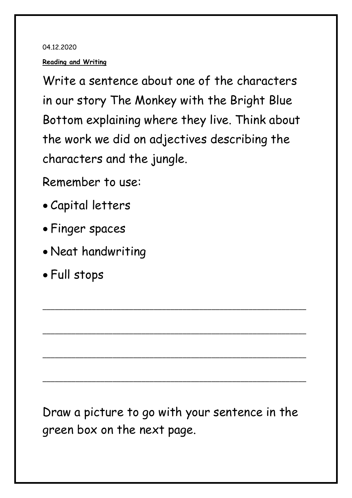**Reading and Writing**

Write a sentence about one of the characters in our story The Monkey with the Bright Blue Bottom explaining where they live. Think about the work we did on adjectives describing the characters and the jungle.

Remember to use:

- Capital letters
- Finger spaces
- Neat handwriting
- Full stops

Draw a picture to go with your sentence in the green box on the next page.

\_\_\_\_\_\_\_\_\_\_\_\_\_\_\_\_\_\_\_\_\_\_\_\_\_\_\_\_\_\_\_\_\_\_\_\_\_\_\_\_\_\_\_\_\_\_\_\_\_\_\_\_\_\_\_\_\_\_\_\_\_\_\_\_

\_\_\_\_\_\_\_\_\_\_\_\_\_\_\_\_\_\_\_\_\_\_\_\_\_\_\_\_\_\_\_\_\_\_\_\_\_\_\_\_\_\_\_\_\_\_\_\_\_\_\_\_\_\_\_\_\_\_\_\_\_\_\_\_

\_\_\_\_\_\_\_\_\_\_\_\_\_\_\_\_\_\_\_\_\_\_\_\_\_\_\_\_\_\_\_\_\_\_\_\_\_\_\_\_\_\_\_\_\_\_\_\_\_\_\_\_\_\_\_\_\_\_\_\_\_\_\_\_

\_\_\_\_\_\_\_\_\_\_\_\_\_\_\_\_\_\_\_\_\_\_\_\_\_\_\_\_\_\_\_\_\_\_\_\_\_\_\_\_\_\_\_\_\_\_\_\_\_\_\_\_\_\_\_\_\_\_\_\_\_\_\_\_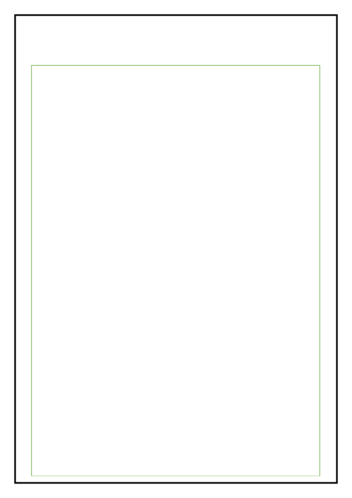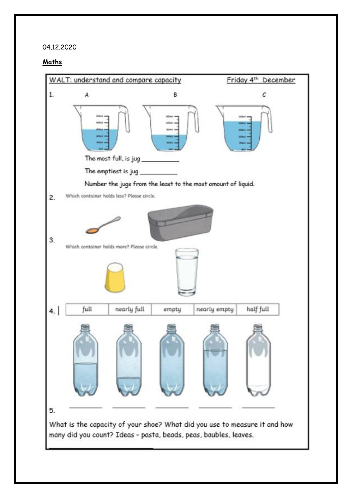#### **Maths**